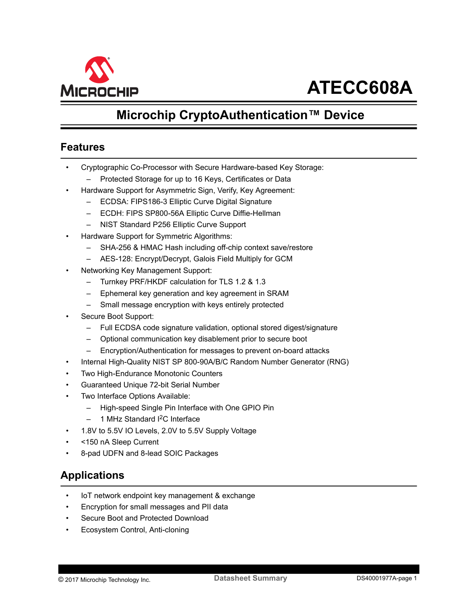<span id="page-0-0"></span>

# **ATECC608A**

## **Microchip CryptoAuthentication™ Device**

## **Features**

- Cryptographic Co-Processor with Secure Hardware-based Key Storage:
	- Protected Storage for up to 16 Keys, Certificates or Data
- Hardware Support for Asymmetric Sign, Verify, Key Agreement:
	- ECDSA: FIPS186-3 Elliptic Curve Digital Signature
	- ECDH: FIPS SP800-56A Elliptic Curve Diffie-Hellman
	- NIST Standard P256 Elliptic Curve Support
- Hardware Support for Symmetric Algorithms:
	- SHA-256 & HMAC Hash including off-chip context save/restore
	- AES-128: Encrypt/Decrypt, Galois Field Multiply for GCM
- Networking Key Management Support:
	- Turnkey PRF/HKDF calculation for TLS 1.2 & 1.3
	- Ephemeral key generation and key agreement in SRAM
	- Small message encryption with keys entirely protected
- Secure Boot Support:
	- Full ECDSA code signature validation, optional stored digest/signature
	- Optional communication key disablement prior to secure boot
	- Encryption/Authentication for messages to prevent on-board attacks
- Internal High-Quality NIST SP 800-90A/B/C Random Number Generator (RNG)
- Two High-Endurance Monotonic Counters
- Guaranteed Unique 72-bit Serial Number
- Two Interface Options Available:
	- High-speed Single Pin Interface with One GPIO Pin
	- 1 MHz Standard <sup>2</sup>C Interface
- 1.8V to 5.5V IO Levels, 2.0V to 5.5V Supply Voltage
- <150 nA Sleep Current
- 8-pad UDFN and 8-lead SOIC Packages

## **Applications**

- IoT network endpoint key management & exchange
- Encryption for small messages and PII data
- Secure Boot and Protected Download
- Ecosystem Control, Anti-cloning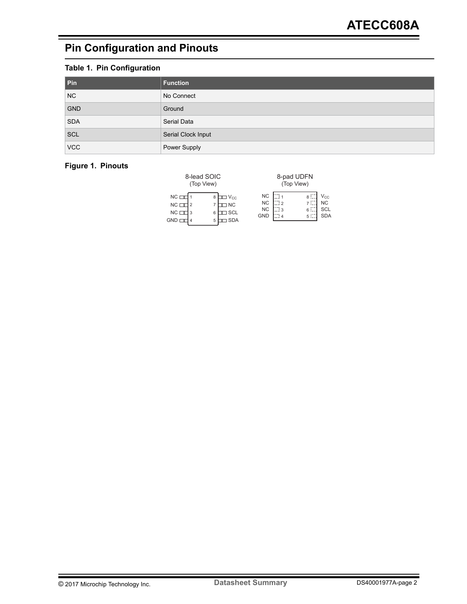## <span id="page-1-0"></span>**Pin Configuration and Pinouts**

## **Table 1. Pin Configuration**

| Pin        | <b>Function</b>    |
|------------|--------------------|
| NC         | No Connect         |
| <b>GND</b> | Ground             |
| <b>SDA</b> | Serial Data        |
| <b>SCL</b> | Serial Clock Input |
| <b>VCC</b> | Power Supply       |

### **Figure 1. Pinouts**

|                                                      | 8-lead SOIC<br>(Top View) |                                                              |                                                   |                              | 8-pad UDFN<br>(Top View) |                                       |
|------------------------------------------------------|---------------------------|--------------------------------------------------------------|---------------------------------------------------|------------------------------|--------------------------|---------------------------------------|
| $NC \square$<br>$NC \Box$<br>$NC \Box$<br><b>GND</b> | 8<br>6<br>5               | $\Box$ $V_{CC}$<br>$\square$ NC<br>$\Box$ SCL<br><b>ISDA</b> | <b>NC</b><br><b>NC</b><br><b>NC</b><br><b>GND</b> | mi 1<br>lii 2<br>∷i 3<br>: 4 | 8:<br>6 i<br>5 L         | Vcc<br>NC<br><b>SCL</b><br><b>SDA</b> |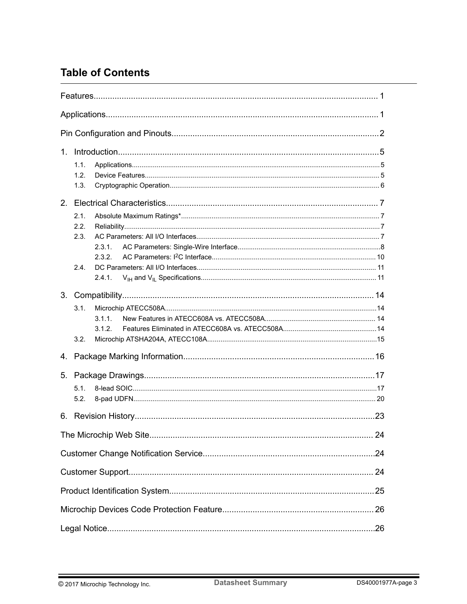## **Table of Contents**

| $1_{-}$ |                                       |  |  |  |  |  |  |  |
|---------|---------------------------------------|--|--|--|--|--|--|--|
|         | 1.1.<br>1.2.<br>1.3.                  |  |  |  |  |  |  |  |
|         |                                       |  |  |  |  |  |  |  |
|         | 2.1.<br>2.2.<br>2.3.<br>2.3.1.<br>232 |  |  |  |  |  |  |  |
|         | 2.4.<br>2.4.1.                        |  |  |  |  |  |  |  |
| 3.      |                                       |  |  |  |  |  |  |  |
|         | 3.1<br>3.1.1.<br>3.1.2<br>3.2.        |  |  |  |  |  |  |  |
| 4.      |                                       |  |  |  |  |  |  |  |
| 5.      | 5.1.<br>5.2.                          |  |  |  |  |  |  |  |
| 6.      |                                       |  |  |  |  |  |  |  |
|         |                                       |  |  |  |  |  |  |  |
|         |                                       |  |  |  |  |  |  |  |
|         |                                       |  |  |  |  |  |  |  |
|         |                                       |  |  |  |  |  |  |  |
|         |                                       |  |  |  |  |  |  |  |
|         |                                       |  |  |  |  |  |  |  |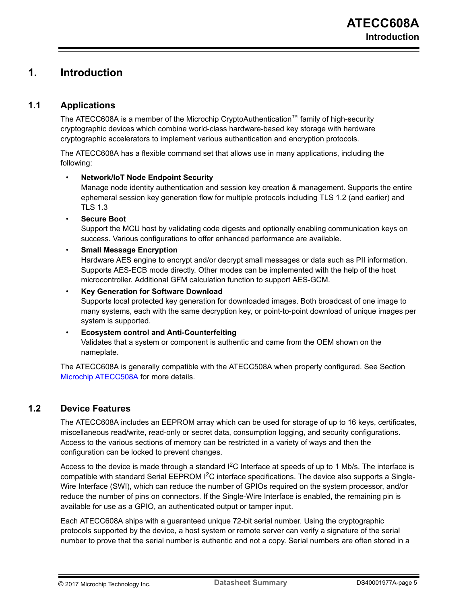## <span id="page-4-0"></span>**1. Introduction**

### **1.1 Applications**

The ATECC608A is a member of the Microchip CryptoAuthentication™ family of high-security cryptographic devices which combine world-class hardware-based key storage with hardware cryptographic accelerators to implement various authentication and encryption protocols.

The ATECC608A has a flexible command set that allows use in many applications, including the following:

### • **Network/IoT Node Endpoint Security**

Manage node identity authentication and session key creation & management. Supports the entire ephemeral session key generation flow for multiple protocols including TLS 1.2 (and earlier) and TLS 1.3

### • **Secure Boot**

Support the MCU host by validating code digests and optionally enabling communication keys on success. Various configurations to offer enhanced performance are available.

### • **Small Message Encryption**

Hardware AES engine to encrypt and/or decrypt small messages or data such as PII information. Supports AES-ECB mode directly. Other modes can be implemented with the help of the host microcontroller. Additional GFM calculation function to support AES-GCM.

#### • **Key Generation for Software Download**

Supports local protected key generation for downloaded images. Both broadcast of one image to many systems, each with the same decryption key, or point-to-point download of unique images per system is supported.

### • **Ecosystem control and Anti-Counterfeiting**

Validates that a system or component is authentic and came from the OEM shown on the nameplate.

The ATECC608A is generally compatible with the ATECC508A when properly configured. See Section [Microchip ATECC508A](#page-13-0) for more details.

### **1.2 Device Features**

The ATECC608A includes an EEPROM array which can be used for storage of up to 16 keys, certificates, miscellaneous read/write, read-only or secret data, consumption logging, and security configurations. Access to the various sections of memory can be restricted in a variety of ways and then the configuration can be locked to prevent changes.

Access to the device is made through a standard  ${}^{12}C$  Interface at speeds of up to 1 Mb/s. The interface is compatible with standard Serial EEPROM  $I^2C$  interface specifications. The device also supports a Single-Wire Interface (SWI), which can reduce the number of GPIOs required on the system processor, and/or reduce the number of pins on connectors. If the Single-Wire Interface is enabled, the remaining pin is available for use as a GPIO, an authenticated output or tamper input.

Each ATECC608A ships with a guaranteed unique 72-bit serial number. Using the cryptographic protocols supported by the device, a host system or remote server can verify a signature of the serial number to prove that the serial number is authentic and not a copy. Serial numbers are often stored in a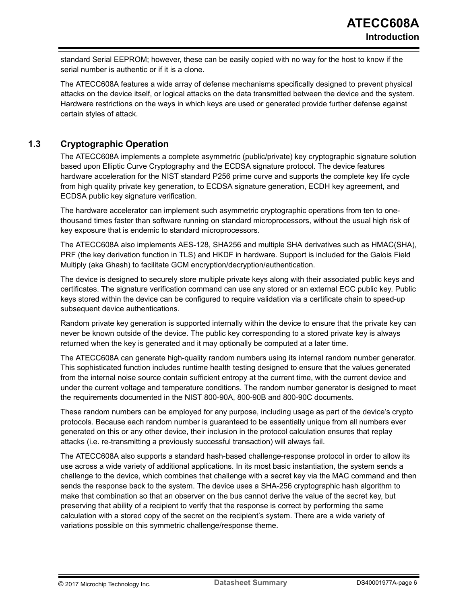<span id="page-5-0"></span>standard Serial EEPROM; however, these can be easily copied with no way for the host to know if the serial number is authentic or if it is a clone.

The ATECC608A features a wide array of defense mechanisms specifically designed to prevent physical attacks on the device itself, or logical attacks on the data transmitted between the device and the system. Hardware restrictions on the ways in which keys are used or generated provide further defense against certain styles of attack.

### **1.3 Cryptographic Operation**

The ATECC608A implements a complete asymmetric (public/private) key cryptographic signature solution based upon Elliptic Curve Cryptography and the ECDSA signature protocol. The device features hardware acceleration for the NIST standard P256 prime curve and supports the complete key life cycle from high quality private key generation, to ECDSA signature generation, ECDH key agreement, and ECDSA public key signature verification.

The hardware accelerator can implement such asymmetric cryptographic operations from ten to onethousand times faster than software running on standard microprocessors, without the usual high risk of key exposure that is endemic to standard microprocessors.

The ATECC608A also implements AES-128, SHA256 and multiple SHA derivatives such as HMAC(SHA), PRF (the key derivation function in TLS) and HKDF in hardware. Support is included for the Galois Field Multiply (aka Ghash) to facilitate GCM encryption/decryption/authentication.

The device is designed to securely store multiple private keys along with their associated public keys and certificates. The signature verification command can use any stored or an external ECC public key. Public keys stored within the device can be configured to require validation via a certificate chain to speed-up subsequent device authentications.

Random private key generation is supported internally within the device to ensure that the private key can never be known outside of the device. The public key corresponding to a stored private key is always returned when the key is generated and it may optionally be computed at a later time.

The ATECC608A can generate high-quality random numbers using its internal random number generator. This sophisticated function includes runtime health testing designed to ensure that the values generated from the internal noise source contain sufficient entropy at the current time, with the current device and under the current voltage and temperature conditions. The random number generator is designed to meet the requirements documented in the NIST 800-90A, 800-90B and 800-90C documents.

These random numbers can be employed for any purpose, including usage as part of the device's crypto protocols. Because each random number is guaranteed to be essentially unique from all numbers ever generated on this or any other device, their inclusion in the protocol calculation ensures that replay attacks (i.e. re-transmitting a previously successful transaction) will always fail.

The ATECC608A also supports a standard hash-based challenge-response protocol in order to allow its use across a wide variety of additional applications. In its most basic instantiation, the system sends a challenge to the device, which combines that challenge with a secret key via the MAC command and then sends the response back to the system. The device uses a SHA-256 cryptographic hash algorithm to make that combination so that an observer on the bus cannot derive the value of the secret key, but preserving that ability of a recipient to verify that the response is correct by performing the same calculation with a stored copy of the secret on the recipient's system. There are a wide variety of variations possible on this symmetric challenge/response theme.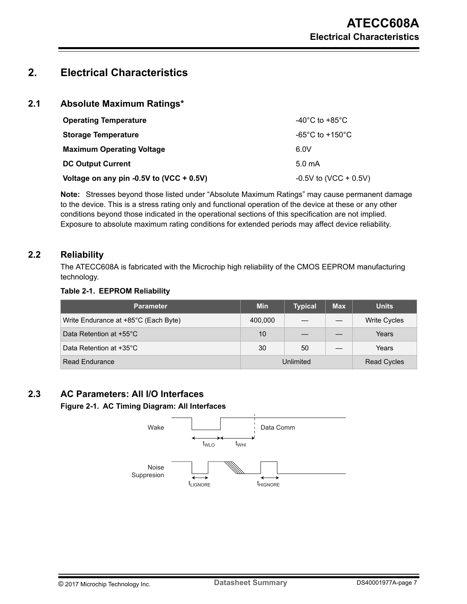## <span id="page-6-0"></span>**2. Electrical Characteristics**

### **2.1 Absolute Maximum Ratings\***

| <b>Operating Temperature</b>             | -40°C to +85°C          |
|------------------------------------------|-------------------------|
| <b>Storage Temperature</b>               | -65°C to +150°C         |
| <b>Maximum Operating Voltage</b>         | 6.0V                    |
| <b>DC Output Current</b>                 | 5.0 mA                  |
| Voltage on any pin -0.5V to (VCC + 0.5V) | $-0.5V$ to (VCC + 0.5V) |

**Note:**  Stresses beyond those listed under "Absolute Maximum Ratings" may cause permanent damage to the device. This is a stress rating only and functional operation of the device at these or any other conditions beyond those indicated in the operational sections of this specification are not implied. Exposure to absolute maximum rating conditions for extended periods may affect device reliability.

### **2.2 Reliability**

The ATECC608A is fabricated with the Microchip high reliability of the CMOS EEPROM manufacturing technology.

### **Table 2-1. EEPROM Reliability**

| <b>Parameter</b>                     | <b>Min</b> | <b>Typical</b> | <b>Max</b> | <b>Units</b>        |
|--------------------------------------|------------|----------------|------------|---------------------|
| Write Endurance at +85°C (Each Byte) | 400,000    |                |            | <b>Write Cycles</b> |
| Data Retention at +55°C              | 10         |                |            | Years               |
| Data Retention at +35°C              | 30         | 50             |            | Years               |
| Read Endurance                       |            | Unlimited      |            | <b>Read Cycles</b>  |

## **2.3 AC Parameters: All I/O Interfaces**

#### **Figure 2-1. AC Timing Diagram: All Interfaces**

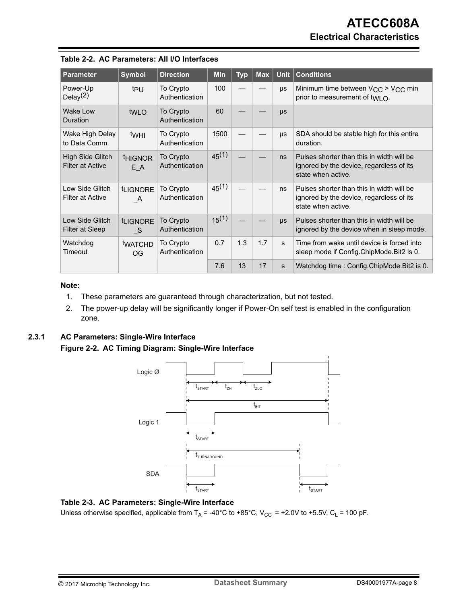| <b>Parameter</b>                            | <b>Symbol</b>               | <b>Direction</b>            | <b>Min</b> | <b>Typ</b> | <b>Max</b> | <b>Unit</b>  | <b>Conditions</b>                                                                                           |
|---------------------------------------------|-----------------------------|-----------------------------|------------|------------|------------|--------------|-------------------------------------------------------------------------------------------------------------|
| Power-Up<br>Delay <sup>(2)</sup>            | tpu                         | To Crypto<br>Authentication | 100        |            |            | μs           | Minimum time between V <sub>CC</sub> > V <sub>CC</sub> min<br>prior to measurement of twi $\Omega$ .        |
| Wake Low<br>Duration                        | tw <sub>LO</sub>            | To Crypto<br>Authentication | 60         |            |            | $\mu s$      |                                                                                                             |
| Wake High Delay<br>to Data Comm.            | twhl                        | To Crypto<br>Authentication | 1500       |            |            | μs           | SDA should be stable high for this entire<br>duration.                                                      |
| High Side Glitch<br><b>Filter at Active</b> | <b>HIGNOR</b><br>E A        | To Crypto<br>Authentication | $45^{(1)}$ |            |            | ns           | Pulses shorter than this in width will be<br>ignored by the device, regardless of its<br>state when active. |
| Low Side Glitch<br><b>Filter at Active</b>  | <b>LIGNORE</b><br>A         | To Crypto<br>Authentication | $45^{(1)}$ |            |            | ns           | Pulses shorter than this in width will be<br>ignored by the device, regardless of its<br>state when active. |
| Low Side Glitch<br>Filter at Sleep          | <b>LIGNORE</b><br>- S       | To Crypto<br>Authentication | $15^{(1)}$ |            |            | $\mu s$      | Pulses shorter than this in width will be<br>ignored by the device when in sleep mode.                      |
| Watchdog<br>Timeout                         | <b>tWATCHD</b><br><b>OG</b> | To Crypto<br>Authentication | 0.7        | 1.3        | 1.7        | s            | Time from wake until device is forced into<br>sleep mode if Config. ChipMode. Bit2 is 0.                    |
|                                             |                             |                             | 7.6        | 13         | 17         | $\mathbf{s}$ | Watchdog time: Config.ChipMode.Bit2 is 0.                                                                   |

<span id="page-7-0"></span>

|  | Table 2-2. AC Parameters: All I/O Interfaces |  |  |
|--|----------------------------------------------|--|--|
|--|----------------------------------------------|--|--|

#### **Note:**

- 1. These parameters are guaranteed through characterization, but not tested.
- 2. The power-up delay will be significantly longer if Power-On self test is enabled in the configuration zone.

## **2.3.1 AC Parameters: Single-Wire Interface**

**Figure 2-2. AC Timing Diagram: Single-Wire Interface**



#### **Table 2-3. AC Parameters: Single-Wire Interface**

Unless otherwise specified, applicable from  $T_A = -40^{\circ}C$  to  $+85^{\circ}C$ ,  $V_{CC} = +2.0V$  to  $+5.5V$ ,  $C_L = 100$  pF.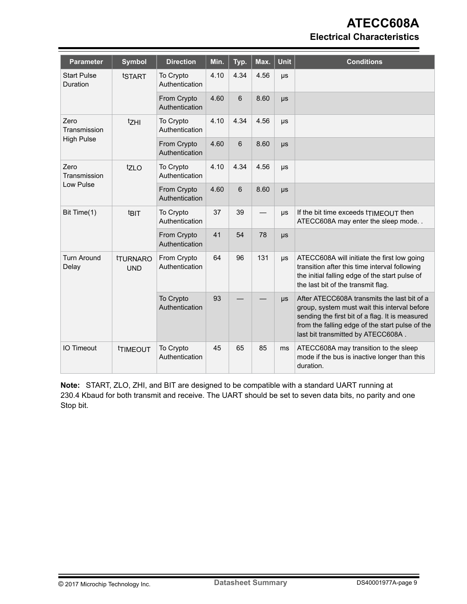## **ATECC608A Electrical Characteristics**

| <b>Parameter</b>               | <b>Symbol</b>                | <b>Direction</b>              | Min. | Typ. | Max. | <b>Unit</b> | <b>Conditions</b>                                                                                                                                                                                                                       |
|--------------------------------|------------------------------|-------------------------------|------|------|------|-------------|-----------------------------------------------------------------------------------------------------------------------------------------------------------------------------------------------------------------------------------------|
| <b>Start Pulse</b><br>Duration | tSTART                       | To Crypto<br>Authentication   | 4.10 | 4.34 | 4.56 | μs          |                                                                                                                                                                                                                                         |
|                                |                              | From Crypto<br>Authentication | 4.60 | 6    | 8.60 | $\mu s$     |                                                                                                                                                                                                                                         |
| Zero<br>Transmission           | tzHI                         |                               | 4.10 | 4.34 | 4.56 | μs          |                                                                                                                                                                                                                                         |
| <b>High Pulse</b>              |                              | From Crypto<br>Authentication | 4.60 | 6    | 8.60 | μs          |                                                                                                                                                                                                                                         |
| Zero<br>Transmission           | tzLO                         | To Crypto<br>Authentication   | 4.10 | 4.34 | 4.56 | μs          |                                                                                                                                                                                                                                         |
|                                | Low Pulse                    |                               | 4.60 | 6    | 8.60 | μs          |                                                                                                                                                                                                                                         |
| Bit Time(1)                    | t <sub>BIT</sub>             | To Crypto<br>Authentication   | 37   | 39   |      | μs          | If the bit time exceeds triMEOUT then<br>ATECC608A may enter the sleep mode                                                                                                                                                             |
|                                |                              | From Crypto<br>Authentication | 41   | 54   | 78   | μs          |                                                                                                                                                                                                                                         |
| <b>Turn Around</b><br>Delay    | <b>TURNARO</b><br><b>UND</b> | From Crypto<br>Authentication | 64   | 96   | 131  | μs          | ATECC608A will initiate the first low going<br>transition after this time interval following<br>the initial falling edge of the start pulse of<br>the last bit of the transmit flag.                                                    |
|                                |                              | To Crypto<br>Authentication   | 93   |      |      | $\mu s$     | After ATECC608A transmits the last bit of a<br>group, system must wait this interval before<br>sending the first bit of a flag. It is measured<br>from the falling edge of the start pulse of the<br>last bit transmitted by ATECC608A. |
| <b>IO Timeout</b>              | <b>TIMEOUT</b>               | To Crypto<br>Authentication   | 45   | 65   | 85   | ms          | ATECC608A may transition to the sleep<br>mode if the bus is inactive longer than this<br>duration.                                                                                                                                      |

**Note:**  START, ZLO, ZHI, and BIT are designed to be compatible with a standard UART running at 230.4 Kbaud for both transmit and receive. The UART should be set to seven data bits, no parity and one Stop bit.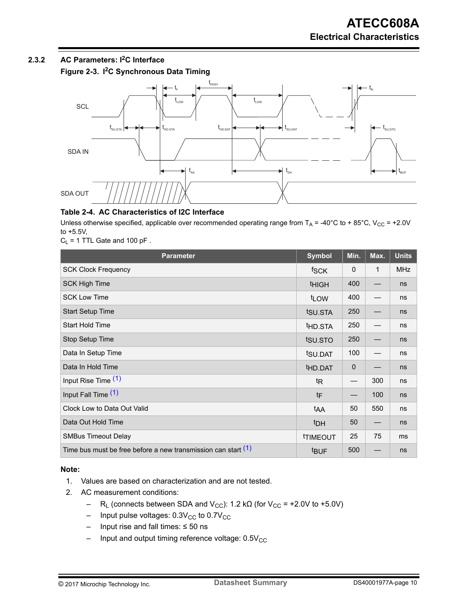## <span id="page-9-0"></span>**2.3.2 AC Parameters: I2C Interface**

**Figure 2-3. I2C Synchronous Data Timing**



### **Table 2-4. AC Characteristics of I2C Interface**

Unless otherwise specified, applicable over recommended operating range from  $T_A$  = -40°C to + 85°C, V<sub>CC</sub> = +2.0V to +5.5V,

 $C_L$  = 1 TTL Gate and 100 pF.

| <b>Parameter</b>                                                | <b>Symbol</b>          | Min.                     | Max.        | <b>Units</b> |
|-----------------------------------------------------------------|------------------------|--------------------------|-------------|--------------|
| <b>SCK Clock Frequency</b>                                      | fSCK                   | $\mathbf{0}$             | $\mathbf 1$ | <b>MHz</b>   |
| <b>SCK High Time</b>                                            | <b>THIGH</b>           | 400                      | —           | ns           |
| <b>SCK Low Time</b>                                             | tLOW                   | 400                      |             | ns           |
| <b>Start Setup Time</b>                                         | tsu.sta                | 250                      |             | ns           |
| Start Hold Time                                                 | t <sub>HD</sub> .STA   | 250                      |             | ns           |
| Stop Setup Time                                                 | tsu.sto                | 250                      |             | ns           |
| Data In Setup Time                                              | t <sub>SU.DAT</sub>    | 100                      |             | ns           |
| Data In Hold Time                                               | thd.DAT                | $\mathbf 0$              |             | ns           |
| Input Rise Time (1)                                             | <sup>t</sup> R         |                          | 300         | ns           |
| Input Fall Time (1)                                             | tF                     | $\overline{\phantom{0}}$ | 100         | ns           |
| Clock Low to Data Out Valid                                     | t <sub>AA</sub>        | 50                       | 550         | ns           |
| Data Out Hold Time                                              | t <sub>DH</sub>        | 50                       |             | ns           |
| <b>SMBus Timeout Delay</b>                                      | <b><i>ITIMEOUT</i></b> | 25                       | 75          | ms           |
| Time bus must be free before a new transmission can start $(1)$ | <b>t</b> BUF           | 500                      |             | ns           |

### **Note:**

- 1. Values are based on characterization and are not tested.
- 2. AC measurement conditions:
	- R<sub>L</sub> (connects between SDA and V<sub>CC</sub>): 1.2 kΩ (for V<sub>CC</sub> = +2.0V to +5.0V)
	- $-$  Input pulse voltages: 0.3V<sub>CC</sub> to 0.7V<sub>CC</sub>
	- Input rise and fall times: ≤ 50 ns
	- $-$  Input and output timing reference voltage:  $0.5V_{CC}$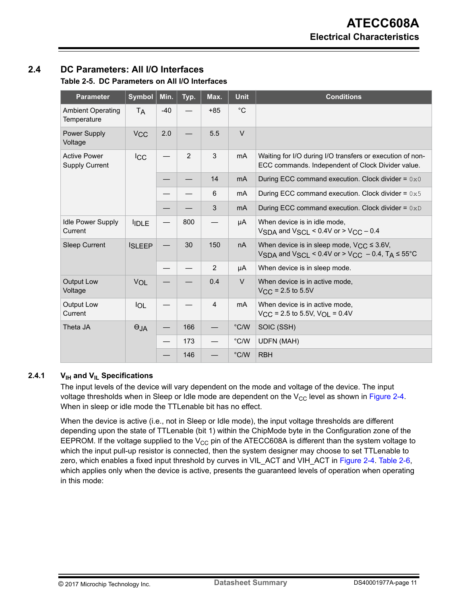## <span id="page-10-0"></span>**2.4 DC Parameters: All I/O Interfaces**

**Table 2-5. DC Parameters on All I/O Interfaces**

| <b>Parameter</b>                             | <b>Symbol</b>         | Min.  | Typ. | Max.           | <b>Unit</b>    | <b>Conditions</b>                                                                                              |
|----------------------------------------------|-----------------------|-------|------|----------------|----------------|----------------------------------------------------------------------------------------------------------------|
| <b>Ambient Operating</b><br>Temperature      | <b>TA</b>             | $-40$ |      | $+85$          | $^{\circ}C$    |                                                                                                                |
| Power Supply<br>Voltage                      | <b>V<sub>CC</sub></b> | 2.0   |      | 5.5            | $\vee$         |                                                                                                                |
| <b>Active Power</b><br><b>Supply Current</b> | <b>ICC</b>            |       | 2    | 3              | mA             | Waiting for I/O during I/O transfers or execution of non-<br>ECC commands. Independent of Clock Divider value. |
|                                              |                       |       |      | 14             | m <sub>A</sub> | During ECC command execution. Clock divider = $0x0$                                                            |
|                                              |                       |       |      | 6              | mA             | During ECC command execution. Clock divider = $0x5$                                                            |
|                                              |                       |       |      | 3              | m <sub>A</sub> | During ECC command execution. Clock divider = $0xD$                                                            |
| <b>Idle Power Supply</b><br>Current          | <b>IDLE</b>           |       | 800  |                | μA             | When device is in idle mode,<br>VSDA and VSCI < $0.4V$ or $>$ VCC $-0.4$                                       |
| <b>Sleep Current</b>                         | <b>ISLEEP</b>         |       | 30   | 150            | nA             | When device is in sleep mode, $V_{CC} \leq 3.6V$ ,<br>VSDA and VSCL < 0.4V or > VCC - 0.4, TA $\leq$ 55°C      |
|                                              |                       |       |      | $\overline{2}$ | μA             | When device is in sleep mode.                                                                                  |
| <b>Output Low</b><br>Voltage                 | <b>VOL</b>            |       |      | 0.4            | $\vee$         | When device is in active mode,<br>$VCC = 2.5$ to 5.5V                                                          |
| Output Low<br>Current                        | <b>IOL</b>            |       |      | $\overline{4}$ | m <sub>A</sub> | When device is in active mode,<br>$V_{\text{CC}}$ = 2.5 to 5.5V, $V_{\text{OL}}$ = 0.4V                        |
| Theta JA                                     | $\Theta$ JA           |       | 166  |                | $\degree$ C/W  | SOIC (SSH)                                                                                                     |
|                                              |                       |       | 173  |                | $\degree$ C/W  | <b>UDFN (MAH)</b>                                                                                              |
|                                              |                       |       | 146  |                | $\degree$ C/W  | <b>RBH</b>                                                                                                     |

### **2.4.1 VIH and VIL Specifications**

The input levels of the device will vary dependent on the mode and voltage of the device. The input voltage thresholds when in Sleep or Idle mode are dependent on the  $V_{CC}$  level as shown in [Figure 2-4.](#page-11-0) When in sleep or idle mode the TTLenable bit has no effect.

When the device is active (i.e., not in Sleep or Idle mode), the input voltage thresholds are different depending upon the state of TTLenable (bit 1) within the ChipMode byte in the Configuration zone of the EEPROM. If the voltage supplied to the  $V_{CC}$  pin of the ATECC608A is different than the system voltage to which the input pull-up resistor is connected, then the system designer may choose to set TTLenable to zero, which enables a fixed input threshold by curves in VIL\_ACT and VIH\_ACT in [Figure 2-4](#page-11-0). [Table 2-6,](#page-11-0) which applies only when the device is active, presents the guaranteed levels of operation when operating in this mode: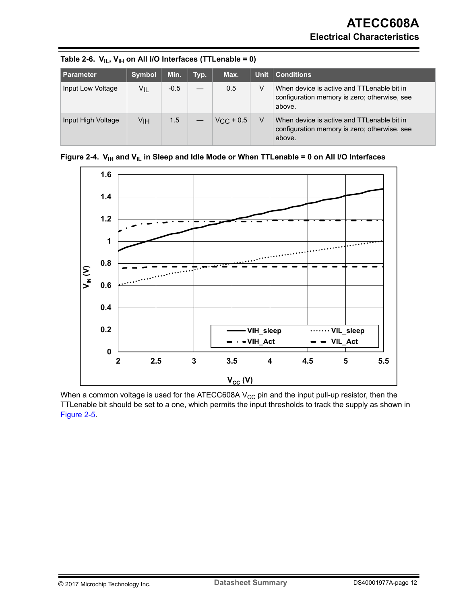| <b>Parameter</b>   | <b>Symbol</b> | Min.   | Typ. | Max.               | <b>Unit</b> | $\vert$ Conditions                                                                                   |
|--------------------|---------------|--------|------|--------------------|-------------|------------------------------------------------------------------------------------------------------|
| Input Low Voltage  | VIL           | $-0.5$ |      | 0.5                | V           | When device is active and TTLenable bit in<br>configuration memory is zero; otherwise, see<br>above. |
| Input High Voltage | VIH           | 1.5    |      | $V_{\rm CC}$ + 0.5 |             | When device is active and TTLenable bit in<br>configuration memory is zero; otherwise, see<br>above. |

<span id="page-11-0"></span>

|  |  |  |  | Table 2-6. $V_{IL}$ , $V_{IH}$ on All I/O Interfaces (TTLenable = 0) |  |
|--|--|--|--|----------------------------------------------------------------------|--|
|--|--|--|--|----------------------------------------------------------------------|--|





When a common voltage is used for the ATECC608A  $V_{CC}$  pin and the input pull-up resistor, then the TTLenable bit should be set to a one, which permits the input thresholds to track the supply as shown in [Figure 2-5.](#page-12-0)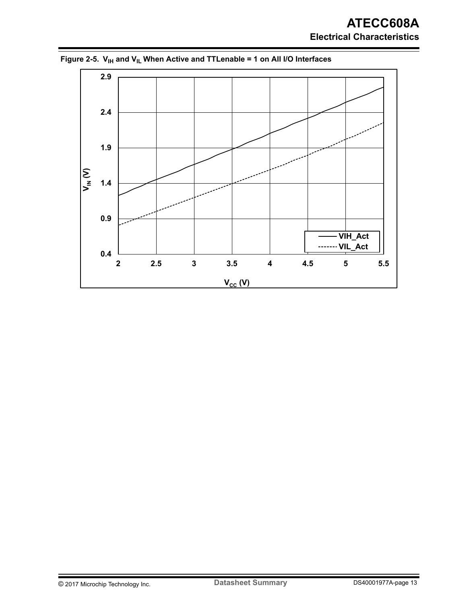## **ATECC608A Electrical Characteristics**



<span id="page-12-0"></span>Figure 2-5. V<sub>IH</sub> and V<sub>IL</sub> When Active and TTLenable = 1 on All I/O Interfaces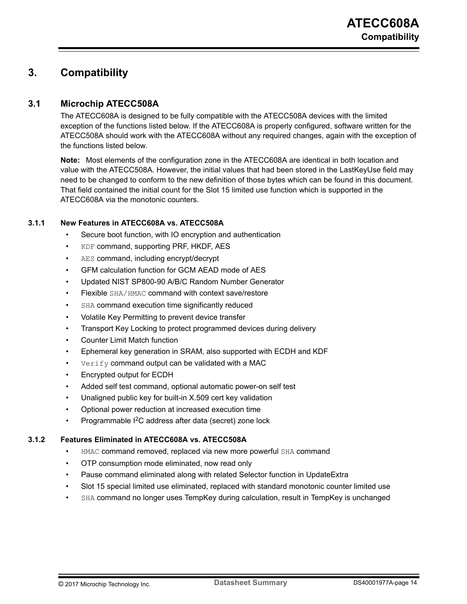## <span id="page-13-0"></span>**3. Compatibility**

### **3.1 Microchip ATECC508A**

The ATECC608A is designed to be fully compatible with the ATECC508A devices with the limited exception of the functions listed below. If the ATECC608A is properly configured, software written for the ATECC508A should work with the ATECC608A without any required changes, again with the exception of the functions listed below.

**Note:**  Most elements of the configuration zone in the ATECC608A are identical in both location and value with the ATECC508A. However, the initial values that had been stored in the LastKeyUse field may need to be changed to conform to the new definition of those bytes which can be found in this document. That field contained the initial count for the Slot 15 limited use function which is supported in the ATECC608A via the monotonic counters.

### **3.1.1 New Features in ATECC608A vs. ATECC508A**

- Secure boot function, with IO encryption and authentication
- KDF command, supporting PRF, HKDF, AES
- AES command, including encrypt/decrypt
- GFM calculation function for GCM AEAD mode of AES
- Updated NIST SP800-90 A/B/C Random Number Generator
- Flexible SHA/HMAC command with context save/restore
- SHA command execution time significantly reduced
- Volatile Key Permitting to prevent device transfer
- Transport Key Locking to protect programmed devices during delivery
- Counter Limit Match function
- Ephemeral key generation in SRAM, also supported with ECDH and KDF
- Verify command output can be validated with a MAC
- Encrypted output for ECDH
- Added self test command, optional automatic power-on self test
- Unaligned public key for built-in X.509 cert key validation
- Optional power reduction at increased execution time
- Programmable I2C address after data (secret) zone lock

#### **3.1.2 Features Eliminated in ATECC608A vs. ATECC508A**

- HMAC command removed, replaced via new more powerful SHA command
- OTP consumption mode eliminated, now read only
- Pause command eliminated along with related Selector function in UpdateExtra
- Slot 15 special limited use eliminated, replaced with standard monotonic counter limited use
- SHA command no longer uses TempKey during calculation, result in TempKey is unchanged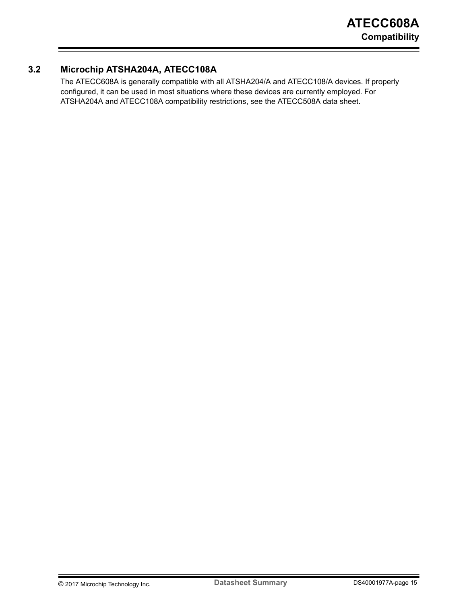### <span id="page-14-0"></span>**3.2 Microchip ATSHA204A, ATECC108A**

The ATECC608A is generally compatible with all ATSHA204/A and ATECC108/A devices. If properly configured, it can be used in most situations where these devices are currently employed. For ATSHA204A and ATECC108A compatibility restrictions, see the ATECC508A data sheet.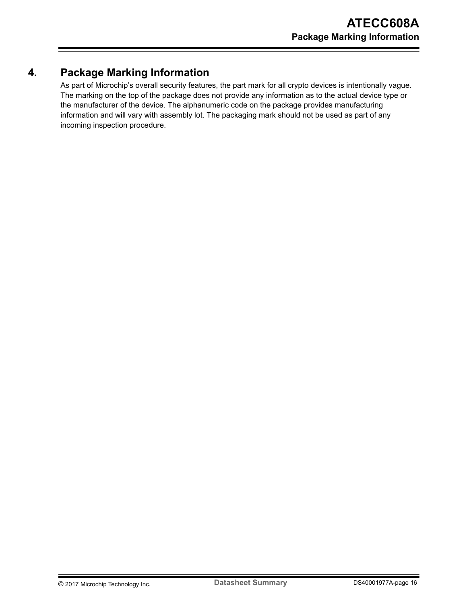## <span id="page-15-0"></span>**4. Package Marking Information**

As part of Microchip's overall security features, the part mark for all crypto devices is intentionally vague. The marking on the top of the package does not provide any information as to the actual device type or the manufacturer of the device. The alphanumeric code on the package provides manufacturing information and will vary with assembly lot. The packaging mark should not be used as part of any incoming inspection procedure.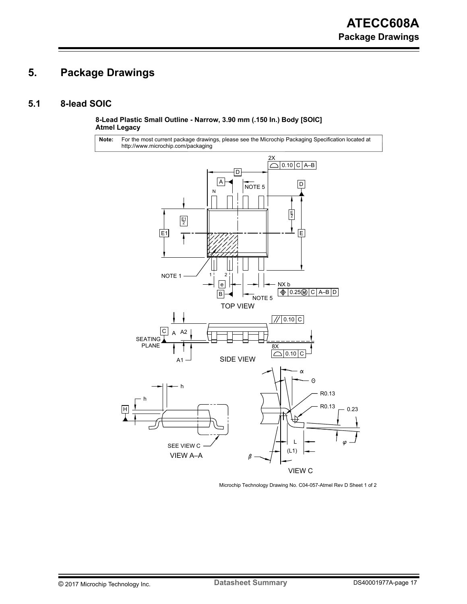## <span id="page-16-0"></span>**5. Package Drawings**

### **5.1 8-lead SOIC**

**8-Lead Plastic Small Outline - Narrow, 3.90 mm (.150 In.) Body [SOIC] Atmel Legacy**

For the most current package drawings, please see the Microchip Packaging Specification located at http://www.microchip.com/packaging **Note:**



Microchip Technology Drawing No. C04-057-Atmel Rev D Sheet 1 of 2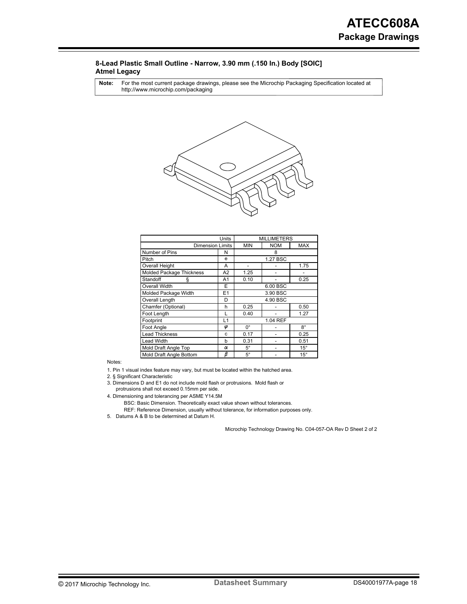#### **8-Lead Plastic Small Outline - Narrow, 3.90 mm (.150 In.) Body [SOIC] Atmel Legacy**

For the most current package drawings, please see the Microchip Packaging Specification located at http://www.microchip.com/packaging **Note:**



|                          | <b>MILLIMETERS</b> |             |            |              |
|--------------------------|--------------------|-------------|------------|--------------|
| <b>Dimension Limits</b>  |                    | <b>MIN</b>  | <b>NOM</b> | <b>MAX</b>   |
| Number of Pins           | N                  | 8           |            |              |
| Pitch                    | e                  |             | 1.27 BSC   |              |
| Overall Height           | Α                  |             |            | 1.75         |
| Molded Package Thickness | A2                 | 1.25        |            |              |
| Standoff<br>ş            | A1                 | 0.10        |            | 0.25         |
| Overall Width            | E                  | 6.00 BSC    |            |              |
| Molded Package Width     | E1                 | 3.90 BSC    |            |              |
| Overall Length           | D                  | 4.90 BSC    |            |              |
| Chamfer (Optional)       | h                  | 0.25        |            | 0.50         |
| Foot Length              | L                  | 0.40        |            | 1.27         |
| Footprint                | L1                 | 1.04 REF    |            |              |
| Foot Angle               | φ                  | $0^{\circ}$ |            | $8^{\circ}$  |
| <b>Lead Thickness</b>    | c                  | 0.17        |            | 0.25         |
| <b>Lead Width</b>        | b                  | 0.31        |            | 0.51         |
| Mold Draft Angle Top     | α                  | $5^\circ$   |            | $15^{\circ}$ |
| Mold Draft Angle Bottom  | β                  | $5^\circ$   |            | $15^{\circ}$ |

Notes:

1. Pin 1 visual index feature may vary, but must be located within the hatched area.

2. § Significant Characteristic

protrusions shall not exceed 0.15mm per side. 3. Dimensions D and E1 do not include mold flash or protrusions. Mold flash or

4. Dimensioning and tolerancing per ASME Y14.5M

REF: Reference Dimension, usually without tolerance, for information purposes only. BSC: Basic Dimension. Theoretically exact value shown without tolerances.

5. Datums A & B to be determined at Datum H.

Microchip Technology Drawing No. C04-057-OA Rev D Sheet 2 of 2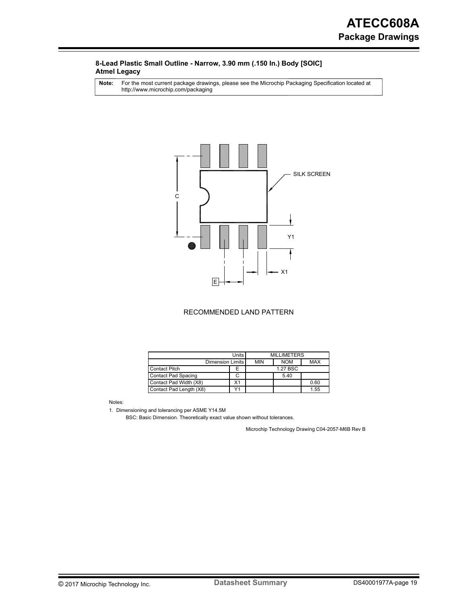#### **8-Lead Plastic Small Outline - Narrow, 3.90 mm (.150 In.) Body [SOIC] Atmel Legacy**

For the most current package drawings, please see the Microchip Packaging Specification located at http://www.microchip.com/packaging **Note:**



#### RECOMMENDED LAND PATTERN

|                                       | Units I<br><b>MILLIMETERS</b> |            |            |            |
|---------------------------------------|-------------------------------|------------|------------|------------|
| Dimension Limits                      |                               | <b>MIN</b> | <b>NOM</b> | <b>MAX</b> |
| <b>Contact Pitch</b>                  | F                             |            | 1.27 BSC   |            |
| <b>Contact Pad Spacing</b>            |                               |            | 5.40       |            |
| Contact Pad Width (X8)                | X1                            |            |            | 0.60       |
| $\sqrt{4}$<br>Contact Pad Length (X8) |                               |            |            | 1.55       |

Notes:

1. Dimensioning and tolerancing per ASME Y14.5M

BSC: Basic Dimension. Theoretically exact value shown without tolerances.

Microchip Technology Drawing C04-2057-M6B Rev B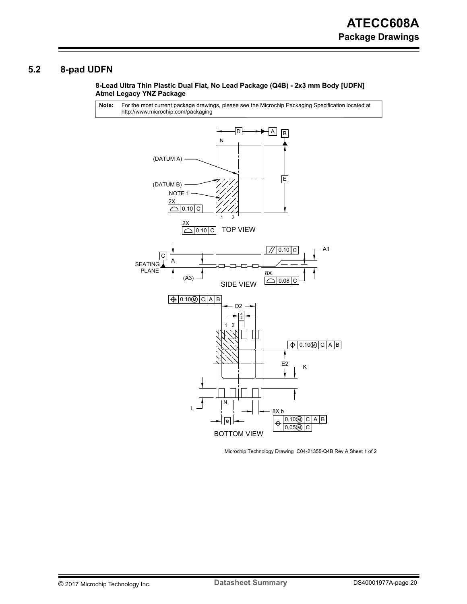## <span id="page-19-0"></span>**5.2 8-pad UDFN**

#### **8-Lead Ultra Thin Plastic Dual Flat, No Lead Package (Q4B) - 2x3 mm Body [UDFN] Atmel Legacy YNZ Package**

For the most current package drawings, please see the Microchip Packaging Specification located at http://www.microchip.com/packaging **Note:**



Microchip Technology Drawing C04-21355-Q4B Rev A Sheet 1 of 2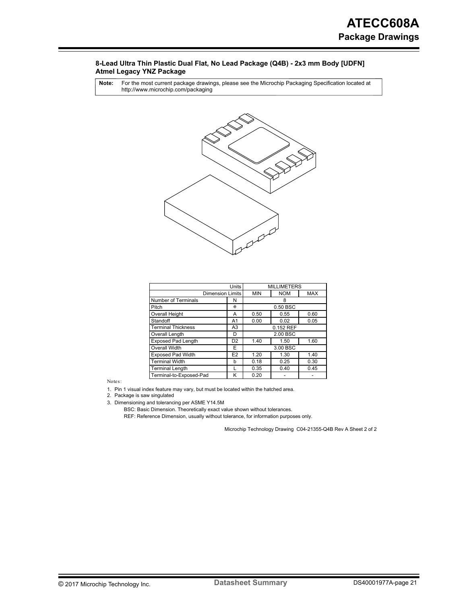#### **8-Lead Ultra Thin Plastic Dual Flat, No Lead Package (Q4B) - 2x3 mm Body [UDFN] Atmel Legacy YNZ Package**

For the most current package drawings, please see the Microchip Packaging Specification located at http://www.microchip.com/packaging **Note:**



|                                      | Units                   |                      | <b>MILLIMETERS</b> |            |  |
|--------------------------------------|-------------------------|----------------------|--------------------|------------|--|
|                                      | <b>Dimension Limits</b> |                      | <b>NOM</b>         | <b>MAX</b> |  |
| Number of Terminals                  | N                       |                      | 8                  |            |  |
| Pitch                                | e                       |                      | 0.50 BSC           |            |  |
| <b>Overall Height</b>                | A                       | 0.50                 | 0.55               | 0.60       |  |
| Standoff                             | A1                      | 0.00                 | 0.02               | 0.05       |  |
| <b>Terminal Thickness</b>            | A <sub>3</sub>          | 0.152 REF            |                    |            |  |
| Overall Length                       | D                       | 2.00 BSC             |                    |            |  |
| <b>Exposed Pad Length</b>            | D <sub>2</sub>          | 1.40<br>1.50<br>1.60 |                    |            |  |
| <b>Overall Width</b>                 | F                       | 3.00 BSC             |                    |            |  |
| <b>Exposed Pad Width</b>             | E <sub>2</sub>          | 1.20                 | 1.30               | 1.40       |  |
| <b>Terminal Width</b>                | b                       | 0.18                 | 0.25               | 0.30       |  |
| <b>Terminal Length</b>               |                         | 0.35                 | 0.40               | 0.45       |  |
| Terminal-to-Exposed-Pad<br>K<br>0.20 |                         |                      |                    |            |  |

Notes:

1. Pin 1 visual index feature may vary, but must be located within the hatched area.

2. Package is saw singulated

3. Dimensioning and tolerancing per ASME Y14.5M

BSC: Basic Dimension. Theoretically exact value shown without tolerances.

REF: Reference Dimension, usually without tolerance, for information purposes only.

Microchip Technology Drawing C04-21355-Q4B Rev A Sheet 2 of 2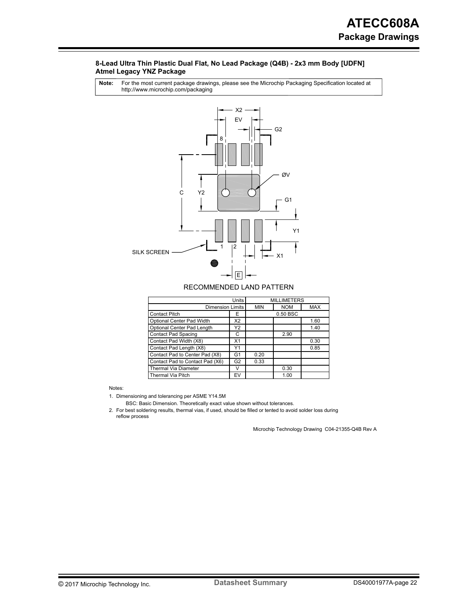#### **8-Lead Ultra Thin Plastic Dual Flat, No Lead Package (Q4B) - 2x3 mm Body [UDFN] Atmel Legacy YNZ Package**

For the most current package drawings, please see the Microchip Packaging Specification located at http://www.microchip.com/packaging **Note:**



#### RECOMMENDED LAND PATTERN

|                                 | <b>MILLIMETERS</b> |            |            |      |
|---------------------------------|--------------------|------------|------------|------|
| <b>Dimension Limits</b>         | <b>MIN</b>         | <b>NOM</b> | <b>MAX</b> |      |
| <b>Contact Pitch</b>            | Е                  | 0.50 BSC   |            |      |
| Optional Center Pad Width       | X2                 |            |            | 1.60 |
| Optional Center Pad Length      | Y2                 |            |            | 1.40 |
| <b>Contact Pad Spacing</b>      | С                  |            | 2.90       |      |
| Contact Pad Width (X8)          | X <sub>1</sub>     |            |            | 0.30 |
| Contact Pad Length (X8)         | Y1                 |            |            | 0.85 |
| Contact Pad to Center Pad (X8)  | G1                 | 0.20       |            |      |
| Contact Pad to Contact Pad (X6) | G <sub>2</sub>     | 0.33       |            |      |
| <b>Thermal Via Diameter</b>     | v                  |            | 0.30       |      |
| <b>Thermal Via Pitch</b>        |                    | 1.00       |            |      |

Notes:

1. Dimensioning and tolerancing per ASME Y14.5M

BSC: Basic Dimension. Theoretically exact value shown without tolerances.

2. For best soldering results, thermal vias, if used, should be filled or tented to avoid solder loss during reflow process

Microchip Technology Drawing C04-21355-Q4B Rev A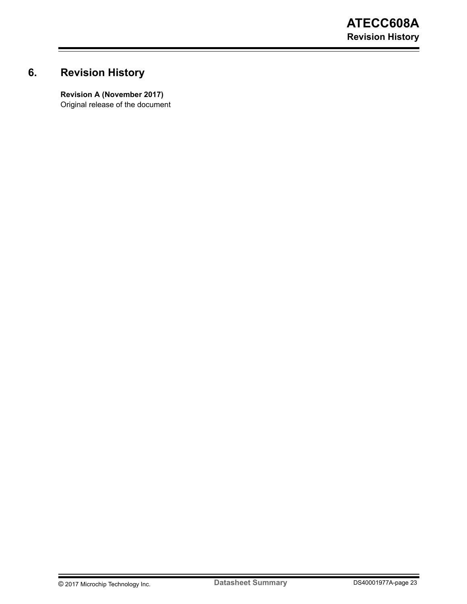## <span id="page-22-0"></span>**6. Revision History**

**Revision A (November 2017)** Original release of the document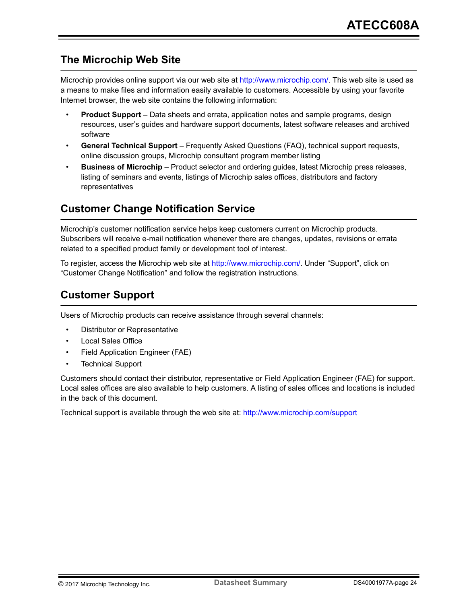## <span id="page-23-0"></span>**The Microchip Web Site**

Microchip provides online support via our web site at [http://www.microchip.com/.](http://www.microchip.com/) This web site is used as a means to make files and information easily available to customers. Accessible by using your favorite Internet browser, the web site contains the following information:

- **Product Support** Data sheets and errata, application notes and sample programs, design resources, user's guides and hardware support documents, latest software releases and archived software
- **General Technical Support** Frequently Asked Questions (FAQ), technical support requests, online discussion groups, Microchip consultant program member listing
- **Business of Microchip** Product selector and ordering guides, latest Microchip press releases, listing of seminars and events, listings of Microchip sales offices, distributors and factory representatives

## **Customer Change Notification Service**

Microchip's customer notification service helps keep customers current on Microchip products. Subscribers will receive e-mail notification whenever there are changes, updates, revisions or errata related to a specified product family or development tool of interest.

To register, access the Microchip web site at [http://www.microchip.com/.](http://www.microchip.com/) Under "Support", click on "Customer Change Notification" and follow the registration instructions.

## **Customer Support**

Users of Microchip products can receive assistance through several channels:

- Distributor or Representative
- Local Sales Office
- Field Application Engineer (FAE)
- Technical Support

Customers should contact their distributor, representative or Field Application Engineer (FAE) for support. Local sales offices are also available to help customers. A listing of sales offices and locations is included in the back of this document.

Technical support is available through the web site at: <http://www.microchip.com/support>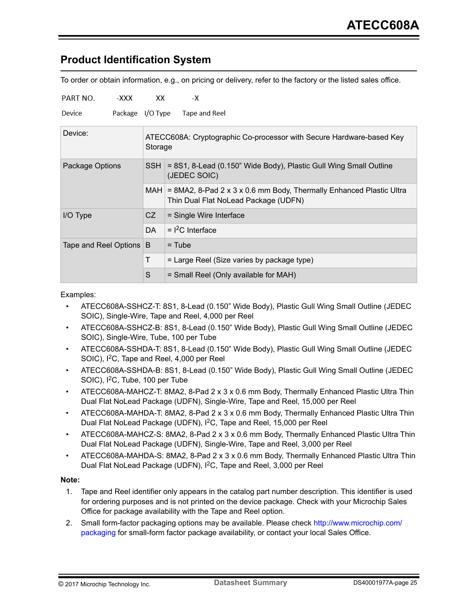## <span id="page-24-0"></span>**Product Identification System**

To order or obtain information, e.g., on pricing or delivery, refer to the factory or the listed sales office.

| PART NO.              | -XXX             | xх      | -Х                                                                                                          |  |  |  |
|-----------------------|------------------|---------|-------------------------------------------------------------------------------------------------------------|--|--|--|
| Device                | Package I/O Type |         | Tape and Reel                                                                                               |  |  |  |
| Device:               |                  | Storage | ATECC608A: Cryptographic Co-processor with Secure Hardware-based Key                                        |  |  |  |
| Package Options       |                  | SSH∃    | = 8S1, 8-Lead (0.150" Wide Body), Plastic Gull Wing Small Outline<br>(JEDEC SOIC)                           |  |  |  |
|                       |                  | MAH I   | = 8MA2, 8-Pad 2 x 3 x 0.6 mm Body, Thermally Enhanced Plastic Ultra<br>Thin Dual Flat NoLead Package (UDFN) |  |  |  |
| I/O Type              |                  | CZ      | = Single Wire Interface                                                                                     |  |  |  |
|                       |                  | DA.     | $=$ $1^2$ C Interface                                                                                       |  |  |  |
| Tape and Reel Options |                  | B       | $=$ Tube                                                                                                    |  |  |  |
|                       |                  | T       | = Large Reel (Size varies by package type)                                                                  |  |  |  |
|                       |                  | S       | = Small Reel (Only available for MAH)                                                                       |  |  |  |

#### Examples:

- ATECC608A-SSHCZ-T: 8S1, 8-Lead (0.150" Wide Body), Plastic Gull Wing Small Outline (JEDEC SOIC), Single-Wire, Tape and Reel, 4,000 per Reel
- ATECC608A-SSHCZ-B: 8S1, 8-Lead (0.150" Wide Body), Plastic Gull Wing Small Outline (JEDEC SOIC), Single-Wire, Tube, 100 per Tube
- ATECC608A-SSHDA-T: 8S1, 8-Lead (0.150" Wide Body), Plastic Gull Wing Small Outline (JEDEC SOIC), I<sup>2</sup>C, Tape and Reel, 4,000 per Reel
- ATECC608A-SSHDA-B: 8S1, 8-Lead (0.150" Wide Body), Plastic Gull Wing Small Outline (JEDEC SOIC), I<sup>2</sup>C, Tube, 100 per Tube
- ATECC608A-MAHCZ-T: 8MA2, 8-Pad 2 x 3 x 0.6 mm Body, Thermally Enhanced Plastic Ultra Thin Dual Flat NoLead Package (UDFN), Single-Wire, Tape and Reel, 15,000 per Reel
- ATECC608A-MAHDA-T: 8MA2, 8-Pad 2 x 3 x 0.6 mm Body, Thermally Enhanced Plastic Ultra Thin Dual Flat NoLead Package (UDFN), I<sup>2</sup>C, Tape and Reel, 15,000 per Reel
- ATECC608A-MAHCZ-S: 8MA2, 8-Pad 2 x 3 x 0.6 mm Body, Thermally Enhanced Plastic Ultra Thin Dual Flat NoLead Package (UDFN), Single-Wire, Tape and Reel, 3,000 per Reel
- ATECC608A-MAHDA-S: 8MA2, 8-Pad 2 x 3 x 0.6 mm Body, Thermally Enhanced Plastic Ultra Thin Dual Flat NoLead Package (UDFN), I<sup>2</sup>C, Tape and Reel, 3,000 per Reel

#### **Note:**

- 1. Tape and Reel identifier only appears in the catalog part number description. This identifier is used for ordering purposes and is not printed on the device package. Check with your Microchip Sales Office for package availability with the Tape and Reel option.
- 2. Small form-factor packaging options may be available. Please check [http://www.microchip.com/](http://www.microchip.com/packaging) [packaging](http://www.microchip.com/packaging) for small-form factor package availability, or contact your local Sales Office.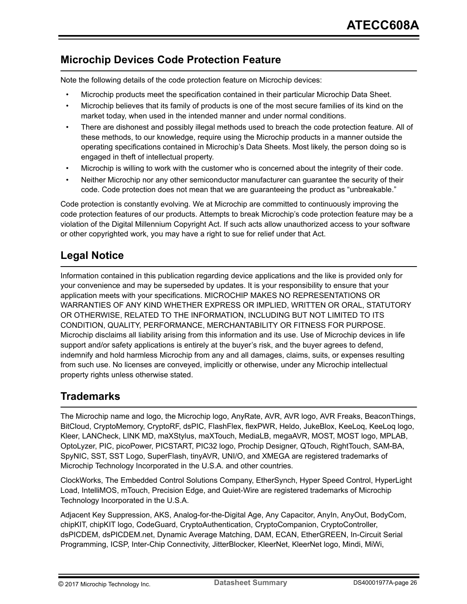## <span id="page-25-0"></span>**Microchip Devices Code Protection Feature**

Note the following details of the code protection feature on Microchip devices:

- Microchip products meet the specification contained in their particular Microchip Data Sheet.
- Microchip believes that its family of products is one of the most secure families of its kind on the market today, when used in the intended manner and under normal conditions.
- There are dishonest and possibly illegal methods used to breach the code protection feature. All of these methods, to our knowledge, require using the Microchip products in a manner outside the operating specifications contained in Microchip's Data Sheets. Most likely, the person doing so is engaged in theft of intellectual property.
- Microchip is willing to work with the customer who is concerned about the integrity of their code.
- Neither Microchip nor any other semiconductor manufacturer can guarantee the security of their code. Code protection does not mean that we are guaranteeing the product as "unbreakable."

Code protection is constantly evolving. We at Microchip are committed to continuously improving the code protection features of our products. Attempts to break Microchip's code protection feature may be a violation of the Digital Millennium Copyright Act. If such acts allow unauthorized access to your software or other copyrighted work, you may have a right to sue for relief under that Act.

## **Legal Notice**

Information contained in this publication regarding device applications and the like is provided only for your convenience and may be superseded by updates. It is your responsibility to ensure that your application meets with your specifications. MICROCHIP MAKES NO REPRESENTATIONS OR WARRANTIES OF ANY KIND WHETHER EXPRESS OR IMPLIED, WRITTEN OR ORAL, STATUTORY OR OTHERWISE, RELATED TO THE INFORMATION, INCLUDING BUT NOT LIMITED TO ITS CONDITION, QUALITY, PERFORMANCE, MERCHANTABILITY OR FITNESS FOR PURPOSE. Microchip disclaims all liability arising from this information and its use. Use of Microchip devices in life support and/or safety applications is entirely at the buyer's risk, and the buyer agrees to defend, indemnify and hold harmless Microchip from any and all damages, claims, suits, or expenses resulting from such use. No licenses are conveyed, implicitly or otherwise, under any Microchip intellectual property rights unless otherwise stated.

## **Trademarks**

The Microchip name and logo, the Microchip logo, AnyRate, AVR, AVR logo, AVR Freaks, BeaconThings, BitCloud, CryptoMemory, CryptoRF, dsPIC, FlashFlex, flexPWR, Heldo, JukeBlox, KeeLoq, KeeLoq logo, Kleer, LANCheck, LINK MD, maXStylus, maXTouch, MediaLB, megaAVR, MOST, MOST logo, MPLAB, OptoLyzer, PIC, picoPower, PICSTART, PIC32 logo, Prochip Designer, QTouch, RightTouch, SAM-BA, SpyNIC, SST, SST Logo, SuperFlash, tinyAVR, UNI/O, and XMEGA are registered trademarks of Microchip Technology Incorporated in the U.S.A. and other countries.

ClockWorks, The Embedded Control Solutions Company, EtherSynch, Hyper Speed Control, HyperLight Load, IntelliMOS, mTouch, Precision Edge, and Quiet-Wire are registered trademarks of Microchip Technology Incorporated in the U.S.A.

Adjacent Key Suppression, AKS, Analog-for-the-Digital Age, Any Capacitor, AnyIn, AnyOut, BodyCom, chipKIT, chipKIT logo, CodeGuard, CryptoAuthentication, CryptoCompanion, CryptoController, dsPICDEM, dsPICDEM.net, Dynamic Average Matching, DAM, ECAN, EtherGREEN, In-Circuit Serial Programming, ICSP, Inter-Chip Connectivity, JitterBlocker, KleerNet, KleerNet logo, Mindi, MiWi,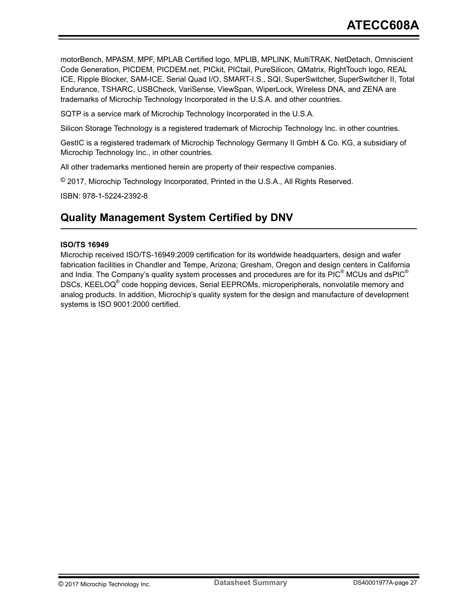<span id="page-26-0"></span>motorBench, MPASM, MPF, MPLAB Certified logo, MPLIB, MPLINK, MultiTRAK, NetDetach, Omniscient Code Generation, PICDEM, PICDEM.net, PICkit, PICtail, PureSilicon, QMatrix, RightTouch logo, REAL ICE, Ripple Blocker, SAM-ICE, Serial Quad I/O, SMART-I.S., SQI, SuperSwitcher, SuperSwitcher II, Total Endurance, TSHARC, USBCheck, VariSense, ViewSpan, WiperLock, Wireless DNA, and ZENA are trademarks of Microchip Technology Incorporated in the U.S.A. and other countries.

SQTP is a service mark of Microchip Technology Incorporated in the U.S.A.

Silicon Storage Technology is a registered trademark of Microchip Technology Inc. in other countries.

GestIC is a registered trademark of Microchip Technology Germany II GmbH & Co. KG, a subsidiary of Microchip Technology Inc., in other countries.

All other trademarks mentioned herein are property of their respective companies.

© 2017, Microchip Technology Incorporated, Printed in the U.S.A., All Rights Reserved.

ISBN: 978-1-5224-2392-8

## **Quality Management System Certified by DNV**

#### **ISO/TS 16949**

Microchip received ISO/TS-16949:2009 certification for its worldwide headquarters, design and wafer fabrication facilities in Chandler and Tempe, Arizona; Gresham, Oregon and design centers in California and India. The Company's quality system processes and procedures are for its PIC $^{\circ}$  MCUs and dsPIC $^{\circ}$ DSCs, KEELOQ<sup>®</sup> code hopping devices, Serial EEPROMs, microperipherals, nonvolatile memory and analog products. In addition, Microchip's quality system for the design and manufacture of development systems is ISO 9001:2000 certified.